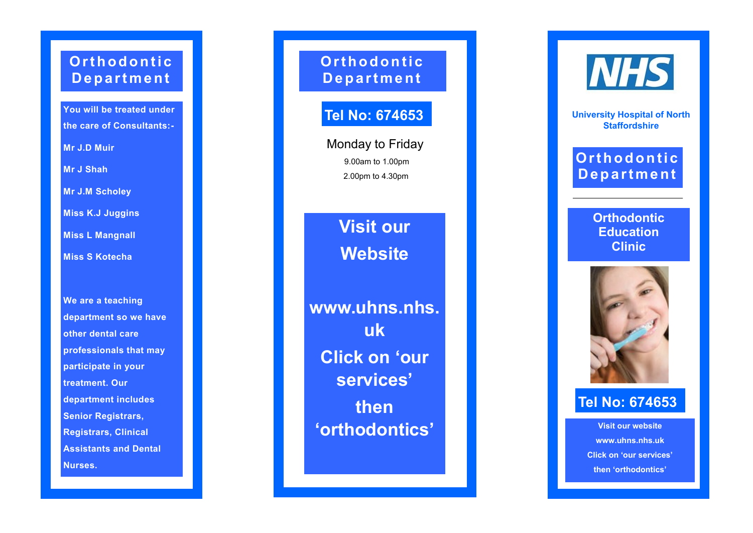# **Orthodontic D e p a r t m e n t**

**You will be treated under the care of Consultants: -**

**Mr J.D Muir**

**Mr J Shah**

**Mr J.M Scholey**

**Miss K.J Juggins**

**Miss L Mangnall**

**Miss S Kotecha**

**We are a teaching department so we have other dental care professionals that may participate in your treatment. Our department includes Senior Registrars, Registrars, Clinical Assistants and Dental Nurses.**

**Or t h o d o n t i c D e p a r t m e n t**

# **Tel No: 674653**

Monday to Friday 9.00am to 1.00pm 2.00pm to 4.30pm

> **Visit our Website**

**www.uhns.nhs. uk Click on 'our services' then 'orthodontics'**

**NHS** 

**University Hospital of North Staffordshire**

# **Orthodontic D e p a r t m e n t**

**Orthodontic Education Clinic**



## **Tel No: 674653**

**Visit our website www.uhns.nhs.uk Click on 'our services' then 'orthodontics'**